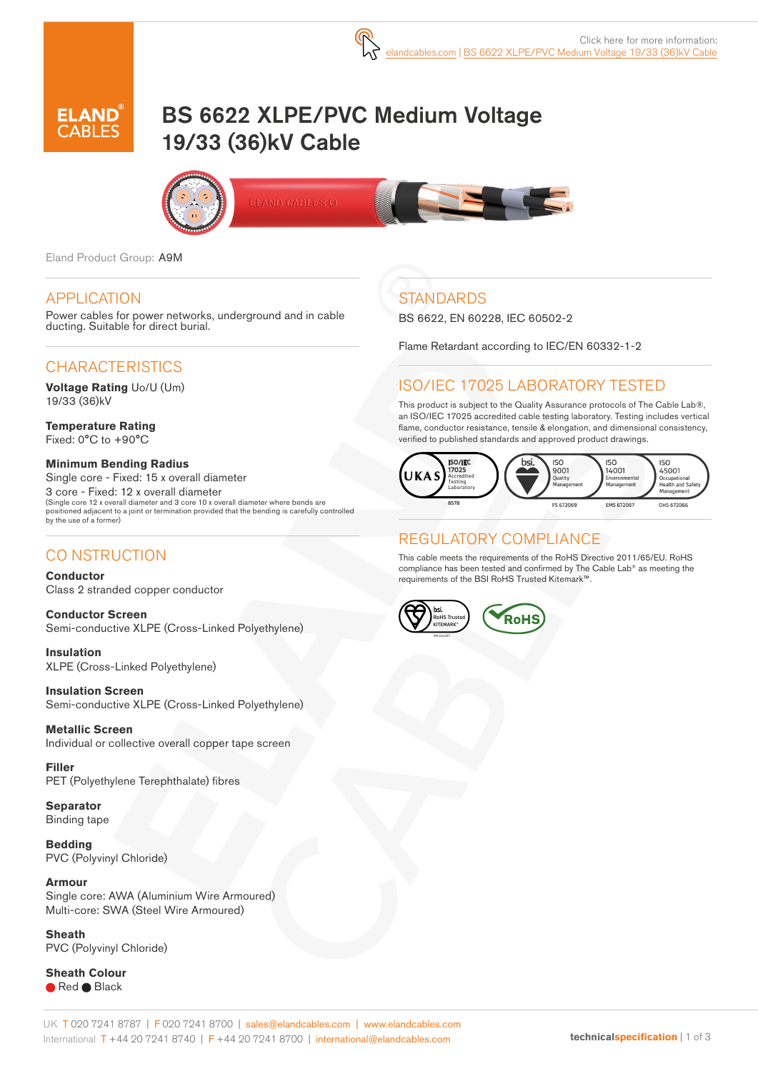# BS 6622 XLPE/PVC Medium Voltage 19/33 (36)kV Cable





Eland Product Group: A9M

#### APPLICATION

Power cables for power networks, underground and in cable ducting. Suitable for direct burial.

# CHARACTERISTICS

**Voltage Rating** Uo/U (Um) 19/33 (36)kV

**Temperature Rating** Fixed: 0°C to +90°C

**Minimum Bending Radius**  Single core - Fixed: 15 x overall diameter 3 core - Fixed: 12 x overall diameter (Single core 12 x overall diameter and 3 core 10 x overall diameter where bends are positioned adjacent to a joint or termination provided that the bending is carefully controlled by the use of a former)

# CO NSTRUCTION

**Conductor** Class 2 stranded copper conductor

**Conductor Screen** Semi-conductive XLPE (Cross-Linked Polyethylene)

**Insulation** XLPE (Cross-Linked Polyethylene)

**Insulation Screen** Semi-conductive XLPE (Cross-Linked Polyethylene)

**Metallic Screen** Individual or collective overall copper tape screen

**Filler** PET (Polyethylene Terephthalate) fibres

**Separator** Binding tape

**Bedding** PVC (Polyvinyl Chloride)

**Armour** Single core: AWA (Aluminium Wire Armoured) Multi-core: SWA (Steel Wire Armoured)

**Sheath**  PVC (Polyvinyl Chloride)

**Sheath Colour** ● Red ● Black

# **STANDARDS**

BS 6622, EN 60228, IEC 60502-2

Flame Retardant according to IEC/EN 60332-1-2

# ISO/IEC 17025 LABORATORY TESTED

This product is subject to the Quality Assurance protocols of The Cable Lab®, an ISO/IEC 17025 accredited cable testing laboratory. Testing includes vertical flame, conductor resistance, tensile & elongation, and dimensional consistency, verified to published standards and approved product drawings.



# REGULATORY COMPLIANCE

This cable meets the requirements of the RoHS Directive 2011/65/EU. RoHS compliance has been tested and confirmed by The Cable Lab® as meeting the requirements of the BSI RoHS Trusted Kitemark™.

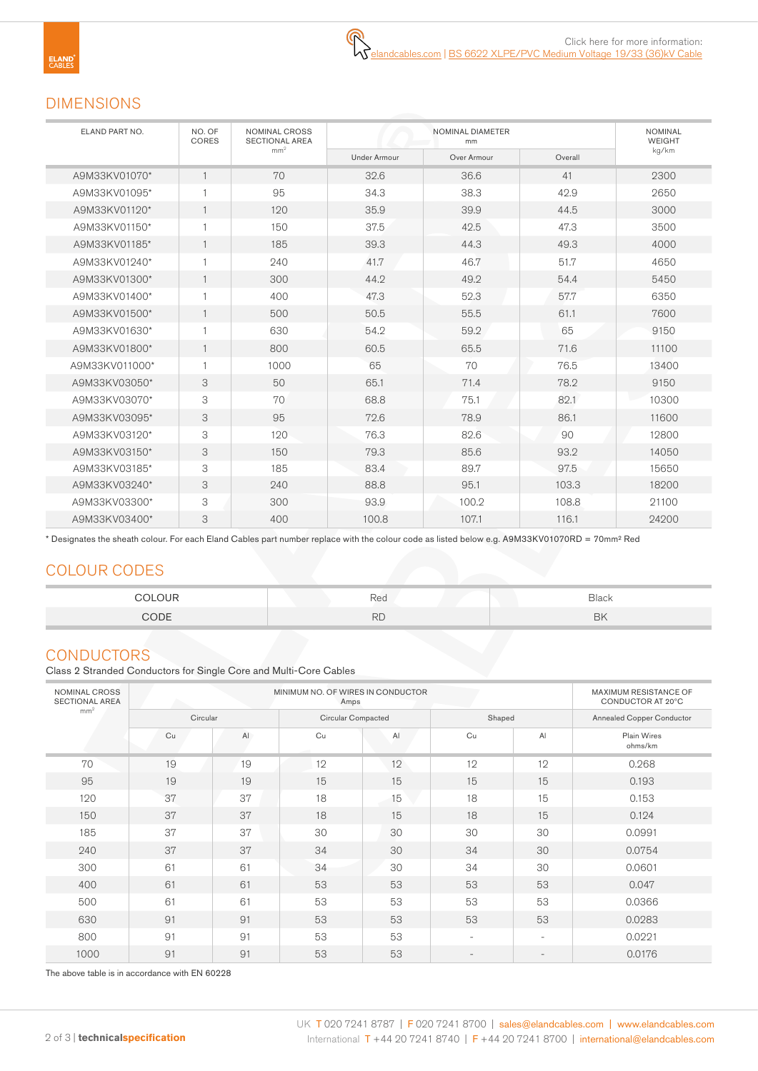#### DIMENSIONS

| ELAND PART NO. | NO. OF<br>CORES | NOMINAL CROSS<br><b>SECTIONAL AREA</b><br>mm <sup>2</sup> |                     | <b>NOMINAL</b><br><b>WEIGHT</b> |         |       |
|----------------|-----------------|-----------------------------------------------------------|---------------------|---------------------------------|---------|-------|
|                |                 |                                                           | <b>Under Armour</b> | Over Armour                     | Overall | kg/km |
| A9M33KV01070*  |                 | 70                                                        | 32.6                | 36.6                            | 41      | 2300  |
| A9M33KV01095*  |                 | 95                                                        | 34.3                | 38.3                            | 42.9    | 2650  |
| A9M33KV01120*  |                 | 120                                                       | 35.9                | 39.9                            | 44.5    | 3000  |
| A9M33KV01150*  |                 | 150                                                       | 37.5                | 42.5                            | 47.3    | 3500  |
| A9M33KV01185*  |                 | 185                                                       | 39.3                | 44.3                            | 49.3    | 4000  |
| A9M33KV01240*  |                 | 240                                                       | 41.7                | 46.7                            | 51.7    | 4650  |
| A9M33KV01300*  |                 | 300                                                       | 44.2                | 49.2                            | 54.4    | 5450  |
| A9M33KV01400*  |                 | 400                                                       | 47.3                | 52.3                            | 57.7    | 6350  |
| A9M33KV01500*  |                 | 500                                                       | 50.5                | 55.5                            | 61.1    | 7600  |
| A9M33KV01630*  |                 | 630                                                       | 54.2                | 59.2                            | 65      | 9150  |
| A9M33KV01800*  |                 | 800                                                       | 60.5                | 65.5                            | 71.6    | 11100 |
| A9M33KV011000* |                 | 1000                                                      | 65                  | 70                              | 76.5    | 13400 |
| A9M33KV03050*  | 3               | 50                                                        | 65.1                | 71.4                            | 78.2    | 9150  |
| A9M33KV03070*  | 3               | 70                                                        | 68.8                | 75.1                            | 82.1    | 10300 |
| A9M33KV03095*  | 3               | 95                                                        | 72.6                | 78.9                            | 86.1    | 11600 |
| A9M33KV03120*  | 3               | 120                                                       | 76.3                | 82.6                            | 90      | 12800 |
| A9M33KV03150*  | 3               | 150                                                       | 79.3                | 85.6                            | 93.2    | 14050 |
| A9M33KV03185*  | 3               | 185                                                       | 83.4                | 89.7                            | 97.5    | 15650 |
| A9M33KV03240*  | 3               | 240                                                       | 88.8                | 95.1                            | 103.3   | 18200 |
| A9M33KV03300*  | 3               | 300                                                       | 93.9                | 100.2                           | 108.8   | 21100 |
| A9M33KV03400*  | 3               | 400                                                       | 100.8               | 107.1                           | 116.1   | 24200 |

\* Designates the sheath colour. For each Eland Cables part number replace with the colour code as listed below e.g. A9M33KV01070RD = 70mm² Red

# COLOUR CODES

| COLOUR.<br>. | $\overline{\phantom{0}}$<br>Rea | Black |
|--------------|---------------------------------|-------|
| CODE         | DГ<br>πU                        | BK    |

#### **CONDUCTORS**

Class 2 Stranded Conductors for Single Core and Multi-Core Cables

| NOMINAL CROSS<br>SECTIONAL AREA |          | MAXIMUM RESISTANCE OF<br>CONDUCTOR AT 20°C |                    |    |                          |                          |                           |
|---------------------------------|----------|--------------------------------------------|--------------------|----|--------------------------|--------------------------|---------------------------|
| mm <sup>2</sup>                 | Circular |                                            | Circular Compacted |    | Shaped                   |                          | Annealed Copper Conductor |
|                                 | Cu       | AI                                         | Cu                 | Al | Cu                       | AI                       | Plain Wires<br>ohms/km    |
| 70                              | 19       | 19                                         | 12                 | 12 | 12                       | 12                       | 0.268                     |
| 95                              | 19       | 19                                         | 15                 | 15 | 15                       | 15                       | 0.193                     |
| 120                             | 37       | 37                                         | 18                 | 15 | 18                       | 15                       | 0.153                     |
| 150                             | 37       | 37                                         | 18                 | 15 | 18                       | 15                       | 0.124                     |
| 185                             | 37       | 37                                         | 30                 | 30 | 30                       | 30                       | 0.0991                    |
| 240                             | 37       | 37                                         | 34                 | 30 | 34                       | 30                       | 0.0754                    |
| 300                             | 61       | 61                                         | 34                 | 30 | 34                       | 30                       | 0.0601                    |
| 400                             | 61       | 61                                         | 53                 | 53 | 53                       | 53                       | 0.047                     |
| 500                             | 61       | 61                                         | 53                 | 53 | 53                       | 53                       | 0.0366                    |
| 630                             | 91       | 91                                         | 53                 | 53 | 53                       | 53                       | 0.0283                    |
| 800                             | 91       | 91                                         | 53                 | 53 | $\overline{\phantom{a}}$ | $\overline{\phantom{a}}$ | 0.0221                    |
| 1000                            | 91       | 91                                         | 53                 | 53 |                          | $\qquad \qquad -$        | 0.0176                    |

The above table is in accordance with EN 60228